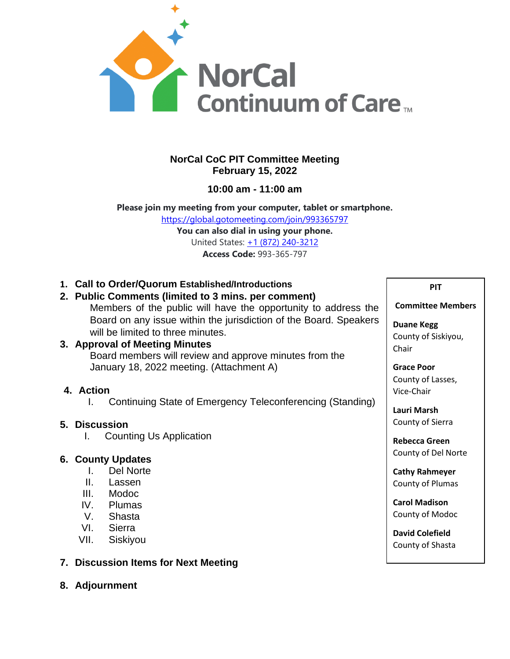

# **NorCal CoC PIT Committee Meeting February 15, 2022**

**10:00 am - 11:00 am**

**Please join my meeting from your computer, tablet or smartphone.** <https://global.gotomeeting.com/join/993365797>

> **You can also dial in using your phone.** United States: [+1 \(872\) 240-3212](tel:+18722403212,,993365797) **Access Code:** 993-365-797

**1. Call to Order/Quorum Established/Introductions**

### **2. Public Comments (limited to 3 mins. per comment)**

Members of the public will have the opportunity to address the Board on any issue within the jurisdiction of the Board. Speakers will be limited to three minutes.

# **3. Approval of Meeting Minutes**

Board members will review and approve minutes from the January 18, 2022 meeting. (Attachment A)

# **4. Action**

I. Continuing State of Emergency Teleconferencing (Standing)

# **5. Discussion**

I. Counting Us Application

# **6. County Updates**

- I. Del Norte
- II. Lassen
- III. Modoc
- IV. Plumas
- V. Shasta
- VI. Sierra
- VII. Siskiyou

### **7. Discussion Items for Next Meeting**

**8. Adjournment**

#### **PIT**

#### **Committee Members**

**Duane Kegg** County of Siskiyou, Chair

**Grace Poor** County of Lasses, Vice-Chair

**Lauri Marsh** County of Sierra

**Rebecca Green** County of Del Norte

**Cathy Rahmeyer** County of Plumas

**Carol Madison** County of Modoc

**David Colefield** County of Shasta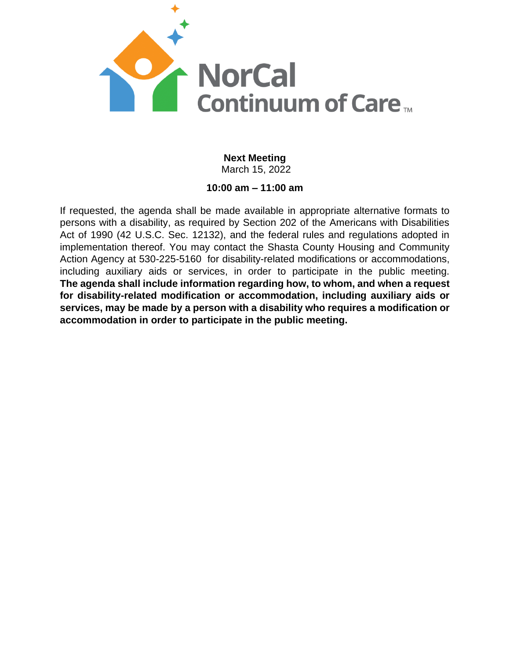

# **Next Meeting** March 15, 2022

# **10:00 am – 11:00 am**

If requested, the agenda shall be made available in appropriate alternative formats to persons with a disability, as required by Section 202 of the Americans with Disabilities Act of 1990 (42 U.S.C. Sec. 12132), and the federal rules and regulations adopted in implementation thereof. You may contact the Shasta County Housing and Community Action Agency at 530-225-5160 for disability-related modifications or accommodations, including auxiliary aids or services, in order to participate in the public meeting. **The agenda shall include information regarding how, to whom, and when a request for disability-related modification or accommodation, including auxiliary aids or services, may be made by a person with a disability who requires a modification or accommodation in order to participate in the public meeting.**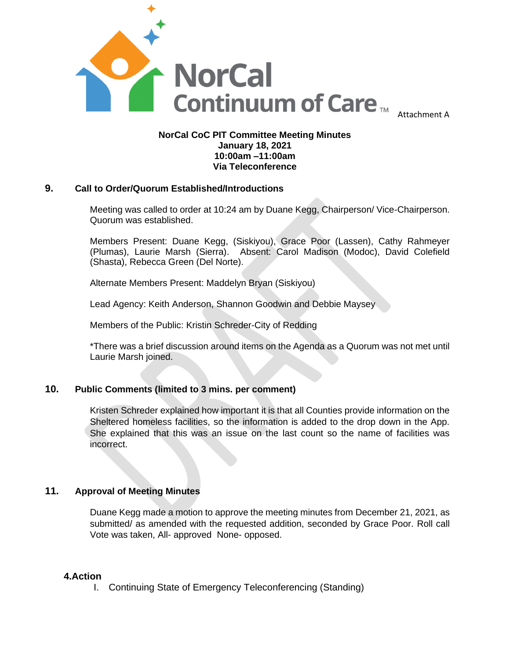

### **NorCal CoC PIT Committee Meeting Minutes January 18, 2021 10:00am –11:00am Via Teleconference**

### **9. Call to Order/Quorum Established/Introductions**

Meeting was called to order at 10:24 am by Duane Kegg, Chairperson/ Vice-Chairperson. Quorum was established.

Members Present: Duane Kegg, (Siskiyou), Grace Poor (Lassen), Cathy Rahmeyer (Plumas), Laurie Marsh (Sierra). Absent: Carol Madison (Modoc), David Colefield (Shasta), Rebecca Green (Del Norte).

Alternate Members Present: Maddelyn Bryan (Siskiyou)

Lead Agency: Keith Anderson, Shannon Goodwin and Debbie Maysey

Members of the Public: Kristin Schreder-City of Redding

\*There was a brief discussion around items on the Agenda as a Quorum was not met until Laurie Marsh joined.

### **10. Public Comments (limited to 3 mins. per comment)**

Kristen Schreder explained how important it is that all Counties provide information on the Sheltered homeless facilities, so the information is added to the drop down in the App. She explained that this was an issue on the last count so the name of facilities was incorrect.

### **11. Approval of Meeting Minutes**

Duane Kegg made a motion to approve the meeting minutes from December 21, 2021, as submitted/ as amended with the requested addition, seconded by Grace Poor. Roll call Vote was taken, All- approved None- opposed.

#### **4.Action**

I. Continuing State of Emergency Teleconferencing (Standing)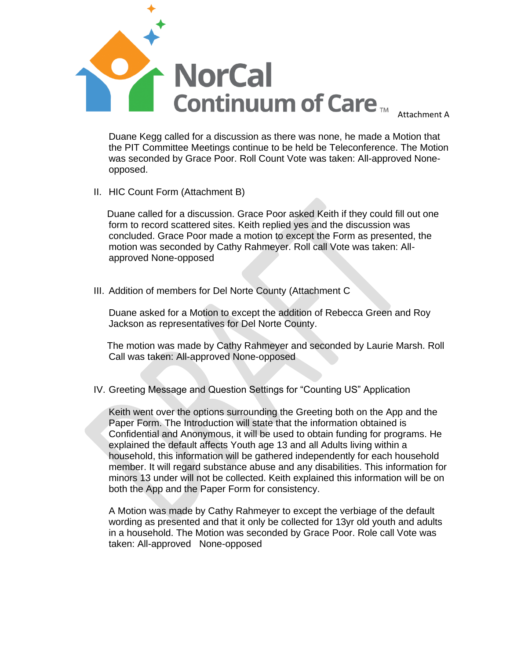

Duane Kegg called for a discussion as there was none, he made a Motion that the PIT Committee Meetings continue to be held be Teleconference. The Motion was seconded by Grace Poor. Roll Count Vote was taken: All-approved Noneopposed.

II. HIC Count Form (Attachment B)

 Duane called for a discussion. Grace Poor asked Keith if they could fill out one form to record scattered sites. Keith replied yes and the discussion was concluded. Grace Poor made a motion to except the Form as presented, the motion was seconded by Cathy Rahmeyer. Roll call Vote was taken: Allapproved None-opposed

III. Addition of members for Del Norte County (Attachment C

Duane asked for a Motion to except the addition of Rebecca Green and Roy Jackson as representatives for Del Norte County.

 The motion was made by Cathy Rahmeyer and seconded by Laurie Marsh. Roll Call was taken: All-approved None-opposed

IV. Greeting Message and Question Settings for "Counting US" Application

Keith went over the options surrounding the Greeting both on the App and the Paper Form. The Introduction will state that the information obtained is Confidential and Anonymous, it will be used to obtain funding for programs. He explained the default affects Youth age 13 and all Adults living within a household, this information will be gathered independently for each household member. It will regard substance abuse and any disabilities. This information for minors 13 under will not be collected. Keith explained this information will be on both the App and the Paper Form for consistency.

A Motion was made by Cathy Rahmeyer to except the verbiage of the default wording as presented and that it only be collected for 13yr old youth and adults in a household. The Motion was seconded by Grace Poor. Role call Vote was taken: All-approved None-opposed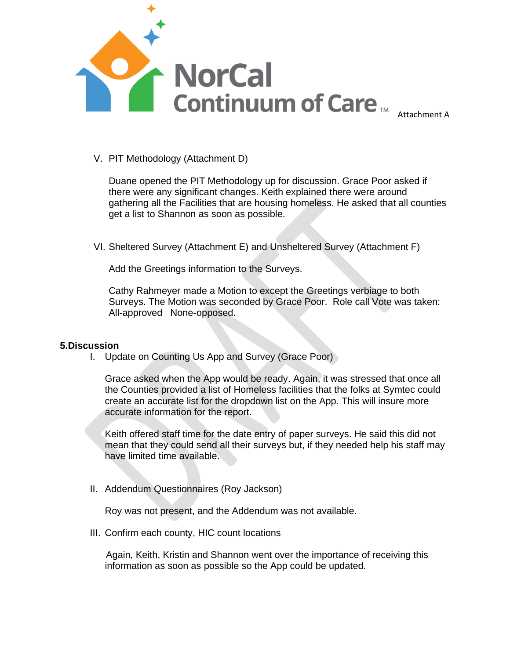

#### V. PIT Methodology (Attachment D)

Duane opened the PIT Methodology up for discussion. Grace Poor asked if there were any significant changes. Keith explained there were around gathering all the Facilities that are housing homeless. He asked that all counties get a list to Shannon as soon as possible.

VI. Sheltered Survey (Attachment E) and Unsheltered Survey (Attachment F)

Add the Greetings information to the Surveys.

Cathy Rahmeyer made a Motion to except the Greetings verbiage to both Surveys. The Motion was seconded by Grace Poor. Role call Vote was taken: All-approved None-opposed.

#### **5.Discussion**

I. Update on Counting Us App and Survey (Grace Poor)

Grace asked when the App would be ready. Again, it was stressed that once all the Counties provided a list of Homeless facilities that the folks at Symtec could create an accurate list for the dropdown list on the App. This will insure more accurate information for the report.

Keith offered staff time for the date entry of paper surveys. He said this did not mean that they could send all their surveys but, if they needed help his staff may have limited time available.

II. Addendum Questionnaires (Roy Jackson)

Roy was not present, and the Addendum was not available.

III. Confirm each county, HIC count locations

 Again, Keith, Kristin and Shannon went over the importance of receiving this information as soon as possible so the App could be updated.